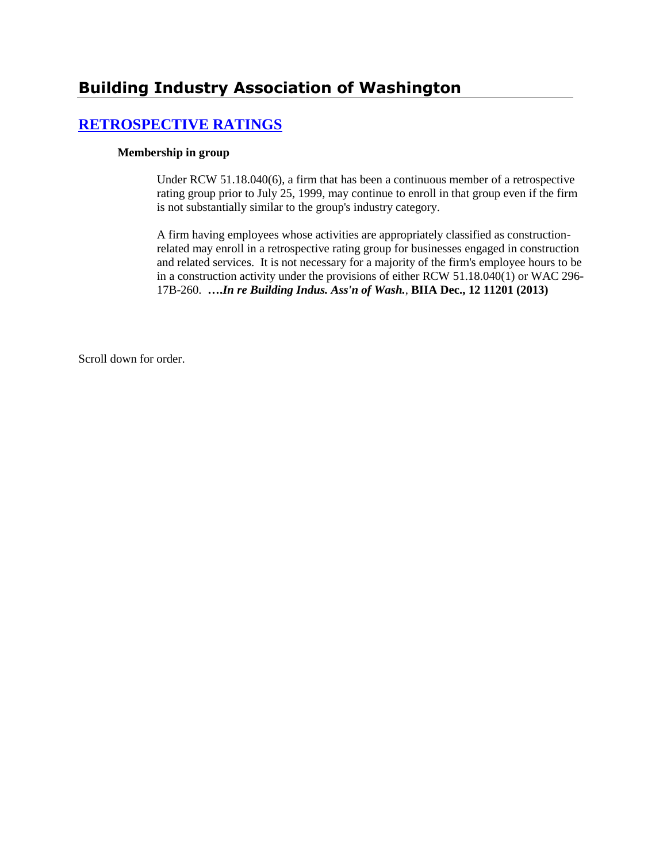# **Building Industry Association of Washington**

## **[RETROSPECTIVE RATINGS](http://www.biia.wa.gov/SDSubjectIndex.html#RETROSPECTIVE_RATINGS)**

#### **Membership in group**

Under RCW 51.18.040(6), a firm that has been a continuous member of a retrospective rating group prior to July 25, 1999, may continue to enroll in that group even if the firm is not substantially similar to the group's industry category.

A firm having employees whose activities are appropriately classified as constructionrelated may enroll in a retrospective rating group for businesses engaged in construction and related services. It is not necessary for a majority of the firm's employee hours to be in a construction activity under the provisions of either RCW 51.18.040(1) or WAC 296- 17B-260. **….***In re Building Indus. Ass'n of Wash.*, **BIIA Dec., 12 11201 (2013)**

Scroll down for order.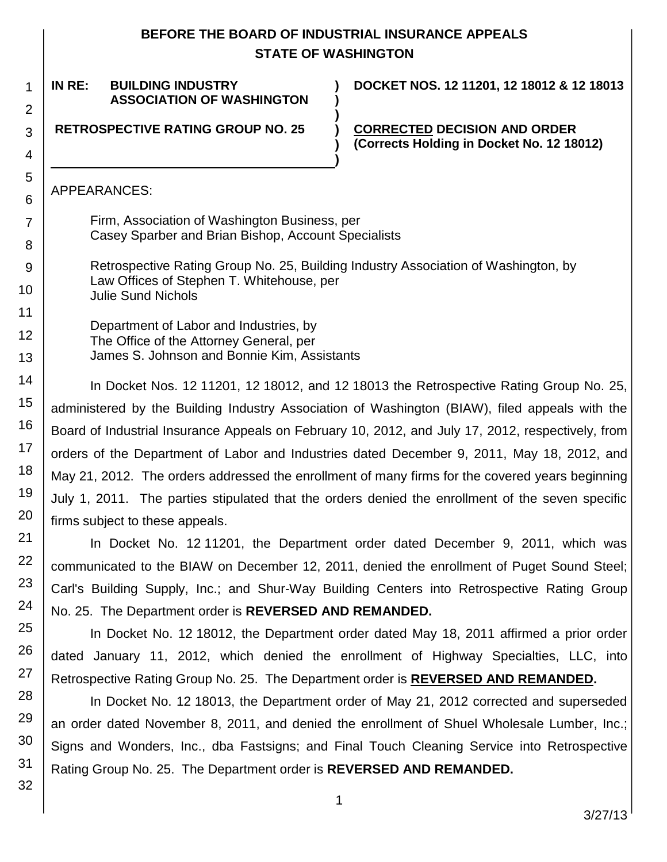## **BEFORE THE BOARD OF INDUSTRIAL INSURANCE APPEALS STATE OF WASHINGTON**

**) )**

**)**

**) )**

### **IN RE: BUILDING INDUSTRY ASSOCIATION OF WASHINGTON**

**DOCKET NOS. 12 11201, 12 18012 & 12 18013**

**RETROSPECTIVE RATING GROUP NO. 25 )**

**CORRECTED DECISION AND ORDER (Corrects Holding in Docket No. 12 18012)**

### APPEARANCES:

1

2

3

4

5 6

7

8 9

10

11 12

13 14

15 16

17

18 19

20

21

22

23

24

25

26

27

28 29

30

31

32

Firm, Association of Washington Business, per Casey Sparber and Brian Bishop, Account Specialists

Retrospective Rating Group No. 25, Building Industry Association of Washington, by Law Offices of Stephen T. Whitehouse, per Julie Sund Nichols

Department of Labor and Industries, by The Office of the Attorney General, per James S. Johnson and Bonnie Kim, Assistants

In Docket Nos. 12 11201, 12 18012, and 12 18013 the Retrospective Rating Group No. 25, administered by the Building Industry Association of Washington (BIAW), filed appeals with the Board of Industrial Insurance Appeals on February 10, 2012, and July 17, 2012, respectively, from orders of the Department of Labor and Industries dated December 9, 2011, May 18, 2012, and May 21, 2012. The orders addressed the enrollment of many firms for the covered years beginning July 1, 2011. The parties stipulated that the orders denied the enrollment of the seven specific firms subject to these appeals.

In Docket No. 12 11201, the Department order dated December 9, 2011, which was communicated to the BIAW on December 12, 2011, denied the enrollment of Puget Sound Steel; Carl's Building Supply, Inc.; and Shur-Way Building Centers into Retrospective Rating Group No. 25. The Department order is **REVERSED AND REMANDED.**

In Docket No. 12 18012, the Department order dated May 18, 2011 affirmed a prior order dated January 11, 2012, which denied the enrollment of Highway Specialties, LLC, into Retrospective Rating Group No. 25. The Department order is **REVERSED AND REMANDED.**

In Docket No. 12 18013, the Department order of May 21, 2012 corrected and superseded an order dated November 8, 2011, and denied the enrollment of Shuel Wholesale Lumber, Inc.; Signs and Wonders, Inc., dba Fastsigns; and Final Touch Cleaning Service into Retrospective Rating Group No. 25. The Department order is **REVERSED AND REMANDED.**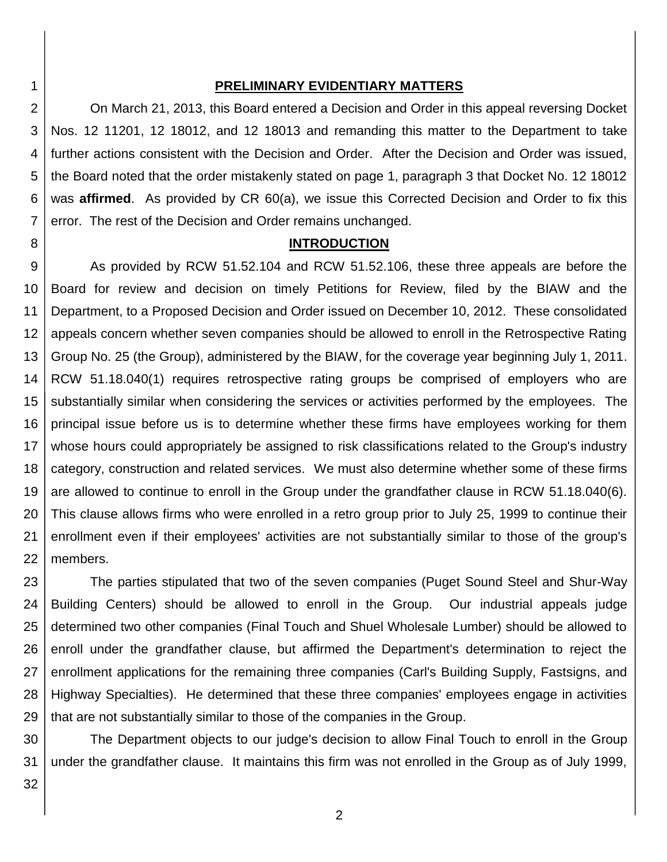#### **PRELIMINARY EVIDENTIARY MATTERS**

2 3 4 5 6 7 On March 21, 2013, this Board entered a Decision and Order in this appeal reversing Docket Nos. 12 11201, 12 18012, and 12 18013 and remanding this matter to the Department to take further actions consistent with the Decision and Order. After the Decision and Order was issued, the Board noted that the order mistakenly stated on page 1, paragraph 3 that Docket No. 12 18012 was **affirmed**. As provided by CR 60(a), we issue this Corrected Decision and Order to fix this error. The rest of the Decision and Order remains unchanged.

#### **INTRODUCTION**

9 10 11 12 13 14 15 16 17 18 19 20 21 22 As provided by RCW 51.52.104 and RCW 51.52.106, these three appeals are before the Board for review and decision on timely Petitions for Review, filed by the BIAW and the Department, to a Proposed Decision and Order issued on December 10, 2012. These consolidated appeals concern whether seven companies should be allowed to enroll in the Retrospective Rating Group No. 25 (the Group), administered by the BIAW, for the coverage year beginning July 1, 2011. RCW 51.18.040(1) requires retrospective rating groups be comprised of employers who are substantially similar when considering the services or activities performed by the employees. The principal issue before us is to determine whether these firms have employees working for them whose hours could appropriately be assigned to risk classifications related to the Group's industry category, construction and related services. We must also determine whether some of these firms are allowed to continue to enroll in the Group under the grandfather clause in RCW 51.18.040(6). This clause allows firms who were enrolled in a retro group prior to July 25, 1999 to continue their enrollment even if their employees' activities are not substantially similar to those of the group's members.

23 24 25 26 27 28 29 The parties stipulated that two of the seven companies (Puget Sound Steel and Shur-Way Building Centers) should be allowed to enroll in the Group. Our industrial appeals judge determined two other companies (Final Touch and Shuel Wholesale Lumber) should be allowed to enroll under the grandfather clause, but affirmed the Department's determination to reject the enrollment applications for the remaining three companies (Carl's Building Supply, Fastsigns, and Highway Specialties). He determined that these three companies' employees engage in activities that are not substantially similar to those of the companies in the Group.

30 31 The Department objects to our judge's decision to allow Final Touch to enroll in the Group under the grandfather clause. It maintains this firm was not enrolled in the Group as of July 1999,

32

1

8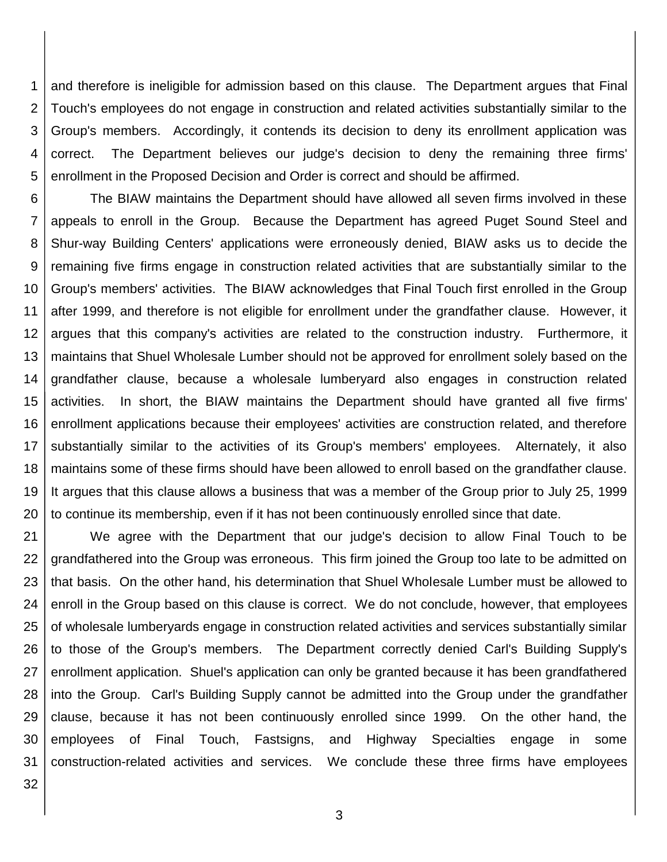1 2 3 4 5 and therefore is ineligible for admission based on this clause. The Department argues that Final Touch's employees do not engage in construction and related activities substantially similar to the Group's members. Accordingly, it contends its decision to deny its enrollment application was correct. The Department believes our judge's decision to deny the remaining three firms' enrollment in the Proposed Decision and Order is correct and should be affirmed.

6 7 8 9 10 11 12 13 14 15 16 17 18 19 20 The BIAW maintains the Department should have allowed all seven firms involved in these appeals to enroll in the Group. Because the Department has agreed Puget Sound Steel and Shur-way Building Centers' applications were erroneously denied, BIAW asks us to decide the remaining five firms engage in construction related activities that are substantially similar to the Group's members' activities. The BIAW acknowledges that Final Touch first enrolled in the Group after 1999, and therefore is not eligible for enrollment under the grandfather clause. However, it argues that this company's activities are related to the construction industry. Furthermore, it maintains that Shuel Wholesale Lumber should not be approved for enrollment solely based on the grandfather clause, because a wholesale lumberyard also engages in construction related activities. In short, the BIAW maintains the Department should have granted all five firms' enrollment applications because their employees' activities are construction related, and therefore substantially similar to the activities of its Group's members' employees. Alternately, it also maintains some of these firms should have been allowed to enroll based on the grandfather clause. It argues that this clause allows a business that was a member of the Group prior to July 25, 1999 to continue its membership, even if it has not been continuously enrolled since that date.

21 22 23 24 25 26 27 28 29 30 31 We agree with the Department that our judge's decision to allow Final Touch to be grandfathered into the Group was erroneous. This firm joined the Group too late to be admitted on that basis. On the other hand, his determination that Shuel Wholesale Lumber must be allowed to enroll in the Group based on this clause is correct. We do not conclude, however, that employees of wholesale lumberyards engage in construction related activities and services substantially similar to those of the Group's members. The Department correctly denied Carl's Building Supply's enrollment application. Shuel's application can only be granted because it has been grandfathered into the Group. Carl's Building Supply cannot be admitted into the Group under the grandfather clause, because it has not been continuously enrolled since 1999. On the other hand, the employees of Final Touch, Fastsigns, and Highway Specialties engage in some construction-related activities and services. We conclude these three firms have employees

32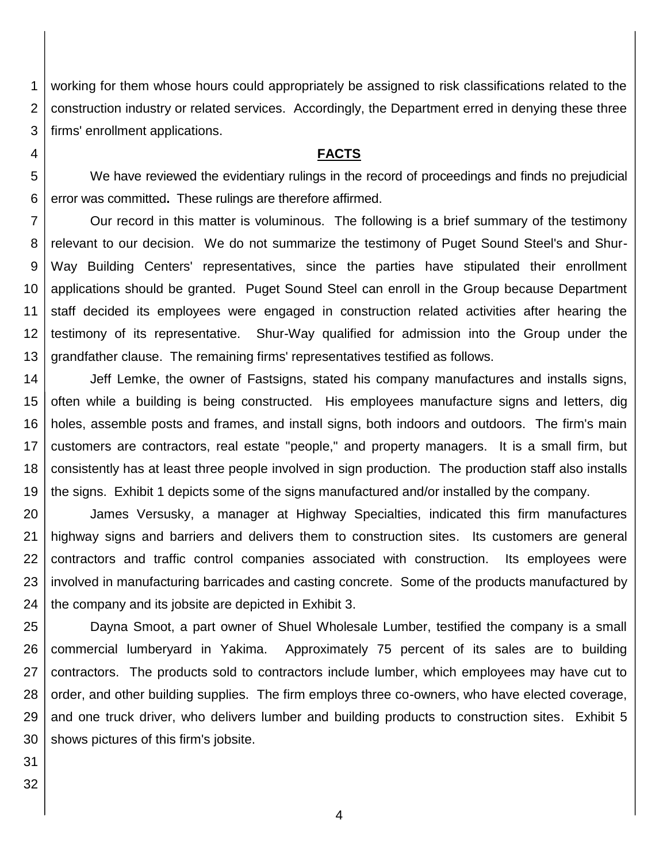1 2 3 working for them whose hours could appropriately be assigned to risk classifications related to the construction industry or related services. Accordingly, the Department erred in denying these three firms' enrollment applications.

#### **FACTS**

5 6 We have reviewed the evidentiary rulings in the record of proceedings and finds no prejudicial error was committed**.** These rulings are therefore affirmed.

7 8 9 10 11 12 13 Our record in this matter is voluminous. The following is a brief summary of the testimony relevant to our decision. We do not summarize the testimony of Puget Sound Steel's and Shur-Way Building Centers' representatives, since the parties have stipulated their enrollment applications should be granted. Puget Sound Steel can enroll in the Group because Department staff decided its employees were engaged in construction related activities after hearing the testimony of its representative. Shur-Way qualified for admission into the Group under the grandfather clause. The remaining firms' representatives testified as follows.

14 15 16 17 18 19 Jeff Lemke, the owner of Fastsigns, stated his company manufactures and installs signs, often while a building is being constructed. His employees manufacture signs and letters, dig holes, assemble posts and frames, and install signs, both indoors and outdoors. The firm's main customers are contractors, real estate "people," and property managers. It is a small firm, but consistently has at least three people involved in sign production. The production staff also installs the signs. Exhibit 1 depicts some of the signs manufactured and/or installed by the company.

20 21 22 23 24 James Versusky, a manager at Highway Specialties, indicated this firm manufactures highway signs and barriers and delivers them to construction sites. Its customers are general contractors and traffic control companies associated with construction. Its employees were involved in manufacturing barricades and casting concrete. Some of the products manufactured by the company and its jobsite are depicted in Exhibit 3.

25 26 27 28 29 30 Dayna Smoot, a part owner of Shuel Wholesale Lumber, testified the company is a small commercial lumberyard in Yakima. Approximately 75 percent of its sales are to building contractors. The products sold to contractors include lumber, which employees may have cut to order, and other building supplies. The firm employs three co-owners, who have elected coverage, and one truck driver, who delivers lumber and building products to construction sites. Exhibit 5 shows pictures of this firm's jobsite.

31 32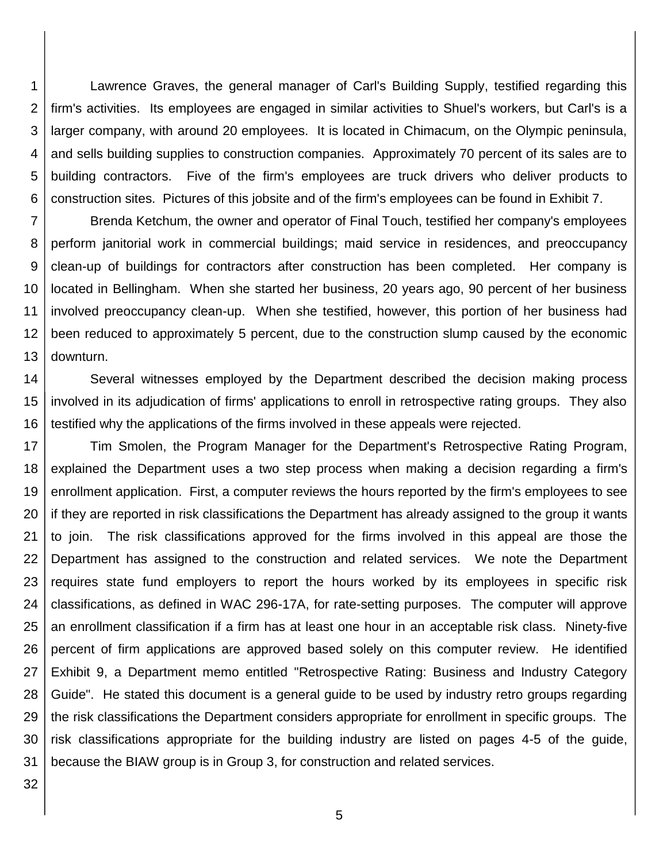1 2 3 4 5 6 Lawrence Graves, the general manager of Carl's Building Supply, testified regarding this firm's activities. Its employees are engaged in similar activities to Shuel's workers, but Carl's is a larger company, with around 20 employees. It is located in Chimacum, on the Olympic peninsula, and sells building supplies to construction companies. Approximately 70 percent of its sales are to building contractors. Five of the firm's employees are truck drivers who deliver products to construction sites. Pictures of this jobsite and of the firm's employees can be found in Exhibit 7.

7 8 9 10 11 12 13 Brenda Ketchum, the owner and operator of Final Touch, testified her company's employees perform janitorial work in commercial buildings; maid service in residences, and preoccupancy clean-up of buildings for contractors after construction has been completed. Her company is located in Bellingham. When she started her business, 20 years ago, 90 percent of her business involved preoccupancy clean-up. When she testified, however, this portion of her business had been reduced to approximately 5 percent, due to the construction slump caused by the economic downturn.

14 15 16 Several witnesses employed by the Department described the decision making process involved in its adjudication of firms' applications to enroll in retrospective rating groups. They also testified why the applications of the firms involved in these appeals were rejected.

17 18 19 20 21 22 23 24 25 26 27 28 29 30 31 Tim Smolen, the Program Manager for the Department's Retrospective Rating Program, explained the Department uses a two step process when making a decision regarding a firm's enrollment application. First, a computer reviews the hours reported by the firm's employees to see if they are reported in risk classifications the Department has already assigned to the group it wants to join. The risk classifications approved for the firms involved in this appeal are those the Department has assigned to the construction and related services. We note the Department requires state fund employers to report the hours worked by its employees in specific risk classifications, as defined in WAC 296-17A, for rate-setting purposes. The computer will approve an enrollment classification if a firm has at least one hour in an acceptable risk class. Ninety-five percent of firm applications are approved based solely on this computer review. He identified Exhibit 9, a Department memo entitled "Retrospective Rating: Business and Industry Category Guide". He stated this document is a general guide to be used by industry retro groups regarding the risk classifications the Department considers appropriate for enrollment in specific groups. The risk classifications appropriate for the building industry are listed on pages 4-5 of the guide, because the BIAW group is in Group 3, for construction and related services.

32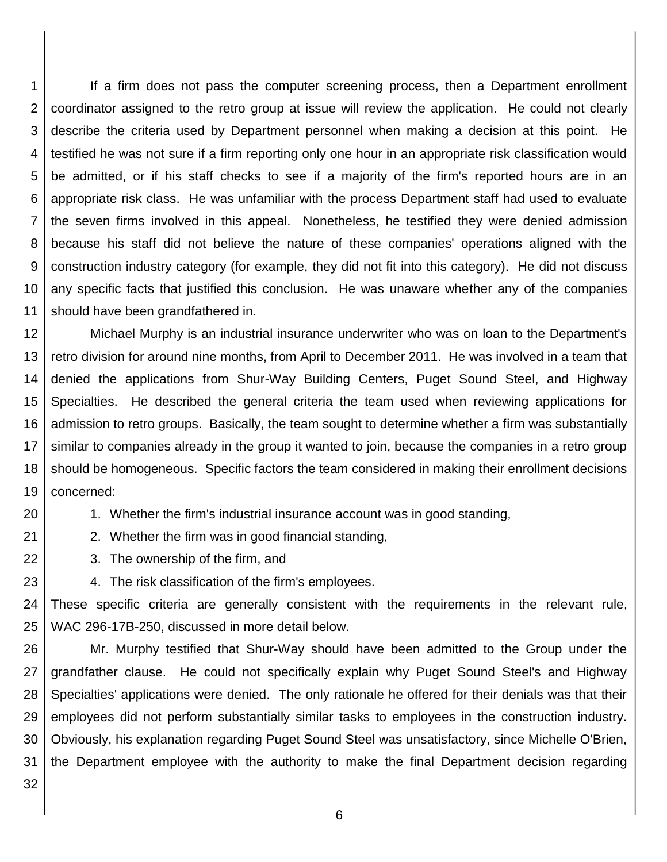1 2 3 4 5 6 7 8 9 10 11 If a firm does not pass the computer screening process, then a Department enrollment coordinator assigned to the retro group at issue will review the application. He could not clearly describe the criteria used by Department personnel when making a decision at this point. He testified he was not sure if a firm reporting only one hour in an appropriate risk classification would be admitted, or if his staff checks to see if a majority of the firm's reported hours are in an appropriate risk class. He was unfamiliar with the process Department staff had used to evaluate the seven firms involved in this appeal. Nonetheless, he testified they were denied admission because his staff did not believe the nature of these companies' operations aligned with the construction industry category (for example, they did not fit into this category). He did not discuss any specific facts that justified this conclusion. He was unaware whether any of the companies should have been grandfathered in.

12 13 14 15 16 17 18 19 Michael Murphy is an industrial insurance underwriter who was on loan to the Department's retro division for around nine months, from April to December 2011. He was involved in a team that denied the applications from Shur-Way Building Centers, Puget Sound Steel, and Highway Specialties. He described the general criteria the team used when reviewing applications for admission to retro groups. Basically, the team sought to determine whether a firm was substantially similar to companies already in the group it wanted to join, because the companies in a retro group should be homogeneous. Specific factors the team considered in making their enrollment decisions concerned:

1. Whether the firm's industrial insurance account was in good standing,

2. Whether the firm was in good financial standing,

3. The ownership of the firm, and

4. The risk classification of the firm's employees.

24 25 These specific criteria are generally consistent with the requirements in the relevant rule, WAC 296-17B-250, discussed in more detail below.

26 27 28 29 30 31 Mr. Murphy testified that Shur-Way should have been admitted to the Group under the grandfather clause. He could not specifically explain why Puget Sound Steel's and Highway Specialties' applications were denied. The only rationale he offered for their denials was that their employees did not perform substantially similar tasks to employees in the construction industry. Obviously, his explanation regarding Puget Sound Steel was unsatisfactory, since Michelle O'Brien, the Department employee with the authority to make the final Department decision regarding

32

20

21

22

23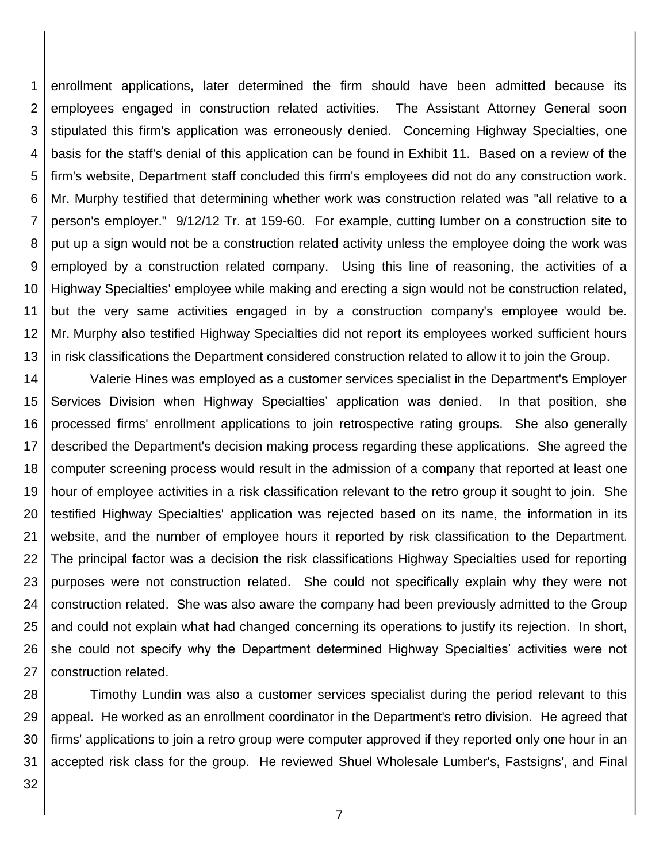1 2 3 4 5 6 7 8 9 10 11 12 13 enrollment applications, later determined the firm should have been admitted because its employees engaged in construction related activities. The Assistant Attorney General soon stipulated this firm's application was erroneously denied. Concerning Highway Specialties, one basis for the staff's denial of this application can be found in Exhibit 11. Based on a review of the firm's website, Department staff concluded this firm's employees did not do any construction work. Mr. Murphy testified that determining whether work was construction related was "all relative to a person's employer." 9/12/12 Tr. at 159-60. For example, cutting lumber on a construction site to put up a sign would not be a construction related activity unless the employee doing the work was employed by a construction related company. Using this line of reasoning, the activities of a Highway Specialties' employee while making and erecting a sign would not be construction related, but the very same activities engaged in by a construction company's employee would be. Mr. Murphy also testified Highway Specialties did not report its employees worked sufficient hours in risk classifications the Department considered construction related to allow it to join the Group.

14 15 16 17 18 19 20 21 22 23 24 25 26 27 Valerie Hines was employed as a customer services specialist in the Department's Employer Services Division when Highway Specialties' application was denied. In that position, she processed firms' enrollment applications to join retrospective rating groups. She also generally described the Department's decision making process regarding these applications. She agreed the computer screening process would result in the admission of a company that reported at least one hour of employee activities in a risk classification relevant to the retro group it sought to join. She testified Highway Specialties' application was rejected based on its name, the information in its website, and the number of employee hours it reported by risk classification to the Department. The principal factor was a decision the risk classifications Highway Specialties used for reporting purposes were not construction related. She could not specifically explain why they were not construction related. She was also aware the company had been previously admitted to the Group and could not explain what had changed concerning its operations to justify its rejection. In short, she could not specify why the Department determined Highway Specialties' activities were not construction related.

28 29 30 31 Timothy Lundin was also a customer services specialist during the period relevant to this appeal. He worked as an enrollment coordinator in the Department's retro division. He agreed that firms' applications to join a retro group were computer approved if they reported only one hour in an accepted risk class for the group. He reviewed Shuel Wholesale Lumber's, Fastsigns', and Final

32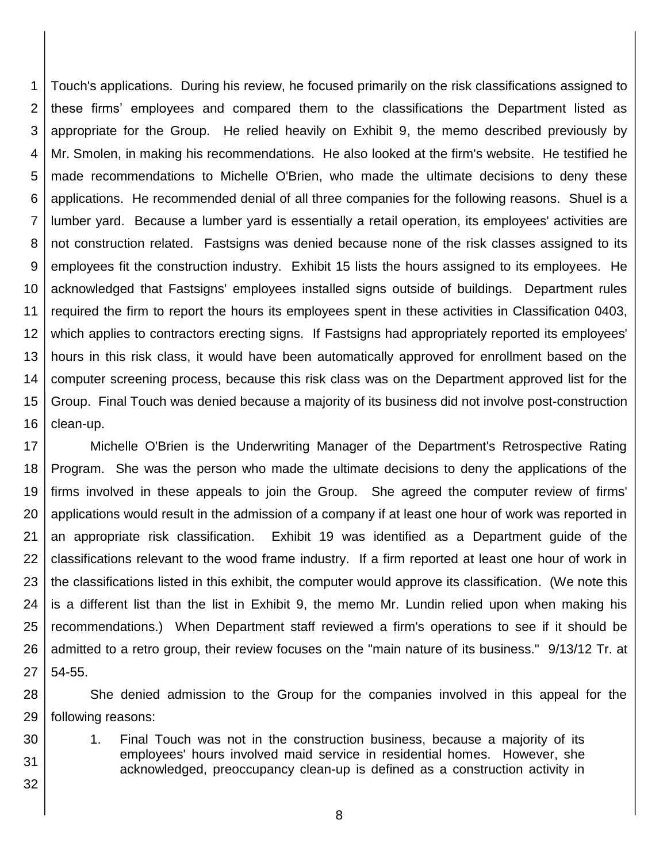1 2 3 4 5 6 7 8 9 10 11 12 13 14 15 16 Touch's applications. During his review, he focused primarily on the risk classifications assigned to these firms' employees and compared them to the classifications the Department listed as appropriate for the Group. He relied heavily on Exhibit 9, the memo described previously by Mr. Smolen, in making his recommendations. He also looked at the firm's website. He testified he made recommendations to Michelle O'Brien, who made the ultimate decisions to deny these applications. He recommended denial of all three companies for the following reasons. Shuel is a lumber yard. Because a lumber yard is essentially a retail operation, its employees' activities are not construction related. Fastsigns was denied because none of the risk classes assigned to its employees fit the construction industry. Exhibit 15 lists the hours assigned to its employees. He acknowledged that Fastsigns' employees installed signs outside of buildings. Department rules required the firm to report the hours its employees spent in these activities in Classification 0403, which applies to contractors erecting signs. If Fastsigns had appropriately reported its employees' hours in this risk class, it would have been automatically approved for enrollment based on the computer screening process, because this risk class was on the Department approved list for the Group. Final Touch was denied because a majority of its business did not involve post-construction clean-up.

17 18 19 20 21 22 23 24 25 26 27 Michelle O'Brien is the Underwriting Manager of the Department's Retrospective Rating Program. She was the person who made the ultimate decisions to deny the applications of the firms involved in these appeals to join the Group. She agreed the computer review of firms' applications would result in the admission of a company if at least one hour of work was reported in an appropriate risk classification. Exhibit 19 was identified as a Department guide of the classifications relevant to the wood frame industry. If a firm reported at least one hour of work in the classifications listed in this exhibit, the computer would approve its classification. (We note this is a different list than the list in Exhibit 9, the memo Mr. Lundin relied upon when making his recommendations.) When Department staff reviewed a firm's operations to see if it should be admitted to a retro group, their review focuses on the "main nature of its business." 9/13/12 Tr. at 54-55.

28 29 She denied admission to the Group for the companies involved in this appeal for the following reasons:

1. Final Touch was not in the construction business, because a majority of its employees' hours involved maid service in residential homes. However, she acknowledged, preoccupancy clean-up is defined as a construction activity in

30

31

32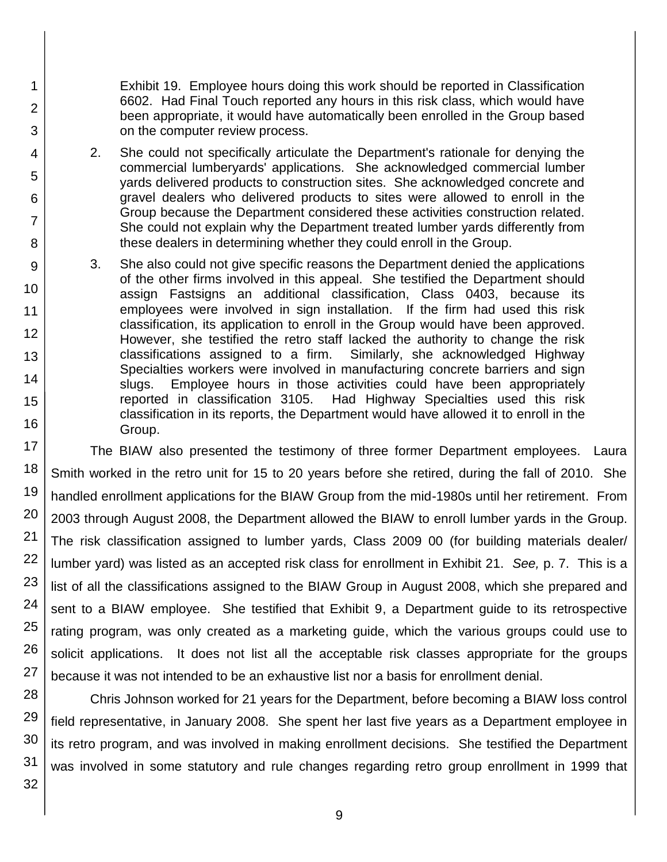Exhibit 19. Employee hours doing this work should be reported in Classification 6602. Had Final Touch reported any hours in this risk class, which would have been appropriate, it would have automatically been enrolled in the Group based on the computer review process.

- 2. She could not specifically articulate the Department's rationale for denying the commercial lumberyards' applications. She acknowledged commercial lumber yards delivered products to construction sites. She acknowledged concrete and gravel dealers who delivered products to sites were allowed to enroll in the Group because the Department considered these activities construction related. She could not explain why the Department treated lumber yards differently from these dealers in determining whether they could enroll in the Group.
- 3. She also could not give specific reasons the Department denied the applications of the other firms involved in this appeal. She testified the Department should assign Fastsigns an additional classification, Class 0403, because its employees were involved in sign installation. If the firm had used this risk classification, its application to enroll in the Group would have been approved. However, she testified the retro staff lacked the authority to change the risk classifications assigned to a firm. Similarly, she acknowledged Highway Specialties workers were involved in manufacturing concrete barriers and sign slugs. Employee hours in those activities could have been appropriately reported in classification 3105. Had Highway Specialties used this risk classification in its reports, the Department would have allowed it to enroll in the Group.

The BIAW also presented the testimony of three former Department employees. Laura Smith worked in the retro unit for 15 to 20 years before she retired, during the fall of 2010. She handled enrollment applications for the BIAW Group from the mid-1980s until her retirement. From 2003 through August 2008, the Department allowed the BIAW to enroll lumber yards in the Group. The risk classification assigned to lumber yards, Class 2009 00 (for building materials dealer/ lumber yard) was listed as an accepted risk class for enrollment in Exhibit 21. *See,* p. 7. This is a list of all the classifications assigned to the BIAW Group in August 2008, which she prepared and sent to a BIAW employee. She testified that Exhibit 9, a Department guide to its retrospective rating program, was only created as a marketing guide, which the various groups could use to solicit applications. It does not list all the acceptable risk classes appropriate for the groups because it was not intended to be an exhaustive list nor a basis for enrollment denial.

Chris Johnson worked for 21 years for the Department, before becoming a BIAW loss control field representative, in January 2008. She spent her last five years as a Department employee in its retro program, and was involved in making enrollment decisions. She testified the Department was involved in some statutory and rule changes regarding retro group enrollment in 1999 that

32

1

2

3

4

5

6

7

8

9

10

11

12

13

14

15

16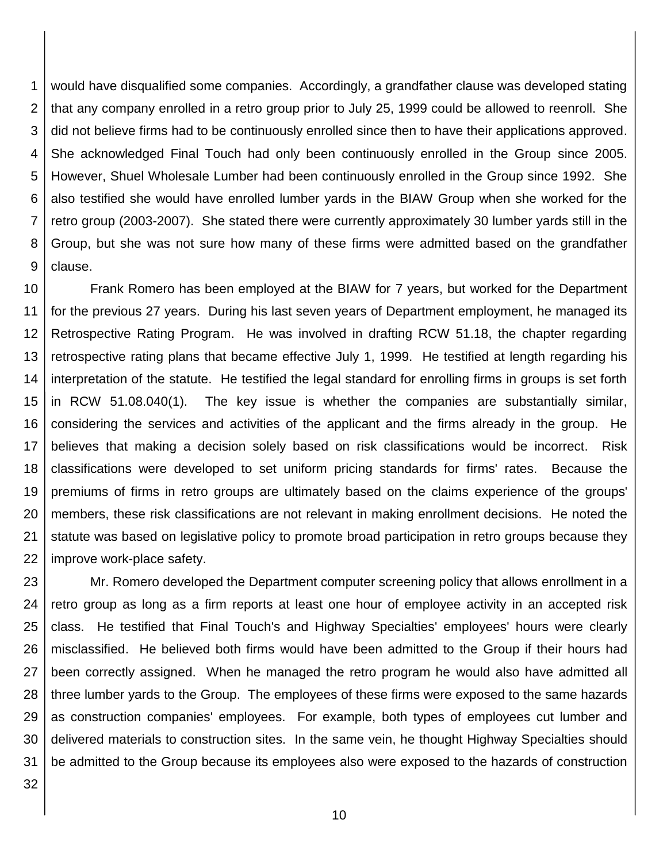1 2 3 4 5 6 7 8 9 would have disqualified some companies. Accordingly, a grandfather clause was developed stating that any company enrolled in a retro group prior to July 25, 1999 could be allowed to reenroll. She did not believe firms had to be continuously enrolled since then to have their applications approved. She acknowledged Final Touch had only been continuously enrolled in the Group since 2005. However, Shuel Wholesale Lumber had been continuously enrolled in the Group since 1992. She also testified she would have enrolled lumber yards in the BIAW Group when she worked for the retro group (2003-2007). She stated there were currently approximately 30 lumber yards still in the Group, but she was not sure how many of these firms were admitted based on the grandfather clause.

10 11 12 13 14 15 16 17 18 19 20 21 22 Frank Romero has been employed at the BIAW for 7 years, but worked for the Department for the previous 27 years. During his last seven years of Department employment, he managed its Retrospective Rating Program. He was involved in drafting RCW 51.18, the chapter regarding retrospective rating plans that became effective July 1, 1999. He testified at length regarding his interpretation of the statute. He testified the legal standard for enrolling firms in groups is set forth in RCW 51.08.040(1). The key issue is whether the companies are substantially similar, considering the services and activities of the applicant and the firms already in the group. He believes that making a decision solely based on risk classifications would be incorrect. Risk classifications were developed to set uniform pricing standards for firms' rates. Because the premiums of firms in retro groups are ultimately based on the claims experience of the groups' members, these risk classifications are not relevant in making enrollment decisions. He noted the statute was based on legislative policy to promote broad participation in retro groups because they improve work-place safety.

23 24 25 26 27 28 29 30 31 Mr. Romero developed the Department computer screening policy that allows enrollment in a retro group as long as a firm reports at least one hour of employee activity in an accepted risk class. He testified that Final Touch's and Highway Specialties' employees' hours were clearly misclassified. He believed both firms would have been admitted to the Group if their hours had been correctly assigned. When he managed the retro program he would also have admitted all three lumber yards to the Group. The employees of these firms were exposed to the same hazards as construction companies' employees. For example, both types of employees cut lumber and delivered materials to construction sites. In the same vein, he thought Highway Specialties should be admitted to the Group because its employees also were exposed to the hazards of construction

32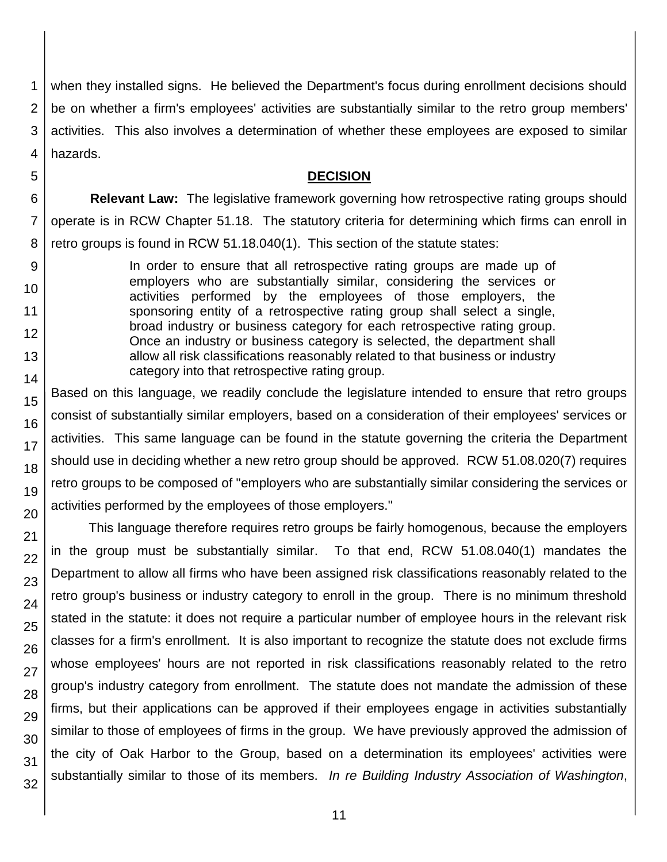1 2 3 4 when they installed signs. He believed the Department's focus during enrollment decisions should be on whether a firm's employees' activities are substantially similar to the retro group members' activities. This also involves a determination of whether these employees are exposed to similar hazards.

### **DECISION**

6 **Relevant Law:** The legislative framework governing how retrospective rating groups should operate is in RCW Chapter 51.18. The statutory criteria for determining which firms can enroll in retro groups is found in RCW 51.18.040(1). This section of the statute states:

In order to ensure that all retrospective rating groups are made up of employers who are substantially similar, considering the services or activities performed by the employees of those employers, the sponsoring entity of a retrospective rating group shall select a single, broad industry or business category for each retrospective rating group. Once an industry or business category is selected, the department shall allow all risk classifications reasonably related to that business or industry category into that retrospective rating group.

Based on this language, we readily conclude the legislature intended to ensure that retro groups consist of substantially similar employers, based on a consideration of their employees' services or activities. This same language can be found in the statute governing the criteria the Department should use in deciding whether a new retro group should be approved. RCW 51.08.020(7) requires retro groups to be composed of "employers who are substantially similar considering the services or activities performed by the employees of those employers."

This language therefore requires retro groups be fairly homogenous, because the employers in the group must be substantially similar. To that end, RCW 51.08.040(1) mandates the Department to allow all firms who have been assigned risk classifications reasonably related to the retro group's business or industry category to enroll in the group. There is no minimum threshold stated in the statute: it does not require a particular number of employee hours in the relevant risk classes for a firm's enrollment. It is also important to recognize the statute does not exclude firms whose employees' hours are not reported in risk classifications reasonably related to the retro group's industry category from enrollment. The statute does not mandate the admission of these firms, but their applications can be approved if their employees engage in activities substantially similar to those of employees of firms in the group. We have previously approved the admission of the city of Oak Harbor to the Group, based on a determination its employees' activities were substantially similar to those of its members. *In re Building Industry Association of Washington*,

5

7

8

9

10

11 12

13

14

15

16

17

18

19

20

21 22

23

24

25

26

27

28

29 30

31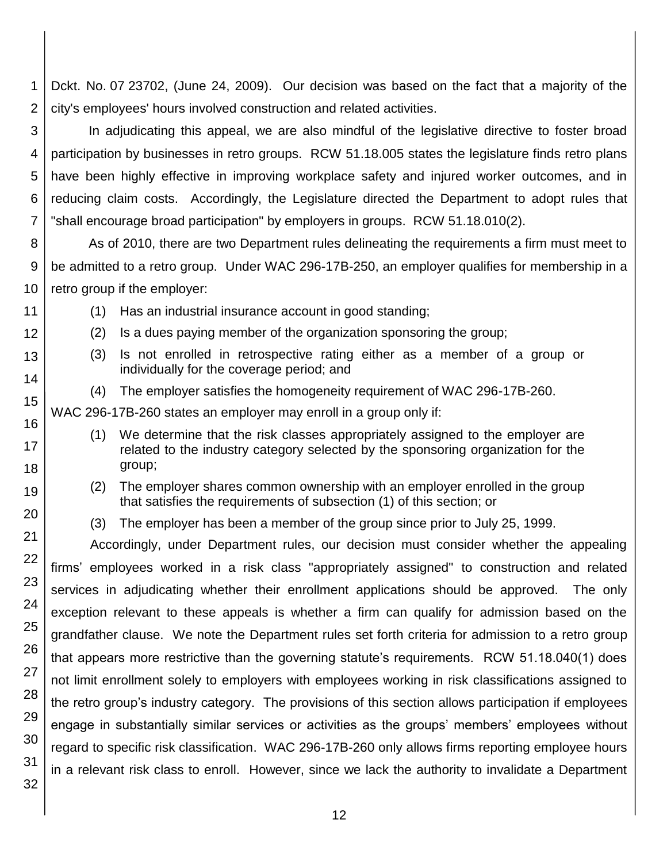1 2 Dckt. No. 07 23702, (June 24, 2009). Our decision was based on the fact that a majority of the city's employees' hours involved construction and related activities.

3 4 5 6 7 In adjudicating this appeal, we are also mindful of the legislative directive to foster broad participation by businesses in retro groups. RCW 51.18.005 states the legislature finds retro plans have been highly effective in improving workplace safety and injured worker outcomes, and in reducing claim costs. Accordingly, the Legislature directed the Department to adopt rules that "shall encourage broad participation" by employers in groups. RCW 51.18.010(2).

8 9 10 As of 2010, there are two Department rules delineating the requirements a firm must meet to be admitted to a retro group. Under WAC 296-17B-250, an employer qualifies for membership in a retro group if the employer:

(1) Has an industrial insurance account in good standing;

(2) Is a dues paying member of the organization sponsoring the group;

(3) Is not enrolled in retrospective rating either as a member of a group or individually for the coverage period; and

(4) The employer satisfies the homogeneity requirement of WAC 296-17B-260.

WAC 296-17B-260 states an employer may enroll in a group only if:

(1) We determine that the risk classes appropriately assigned to the employer are related to the industry category selected by the sponsoring organization for the group;

(2) The employer shares common ownership with an employer enrolled in the group that satisfies the requirements of subsection (1) of this section; or

(3) The employer has been a member of the group since prior to July 25, 1999.

Accordingly, under Department rules, our decision must consider whether the appealing firms' employees worked in a risk class "appropriately assigned" to construction and related services in adjudicating whether their enrollment applications should be approved. The only exception relevant to these appeals is whether a firm can qualify for admission based on the grandfather clause. We note the Department rules set forth criteria for admission to a retro group that appears more restrictive than the governing statute's requirements. RCW 51.18.040(1) does not limit enrollment solely to employers with employees working in risk classifications assigned to the retro group's industry category. The provisions of this section allows participation if employees engage in substantially similar services or activities as the groups' members' employees without regard to specific risk classification. WAC 296-17B-260 only allows firms reporting employee hours in a relevant risk class to enroll. However, since we lack the authority to invalidate a Department

30 31 32

11 12

13

14

15

16

17 18

19

20

21

22

23

24

25

26

27

28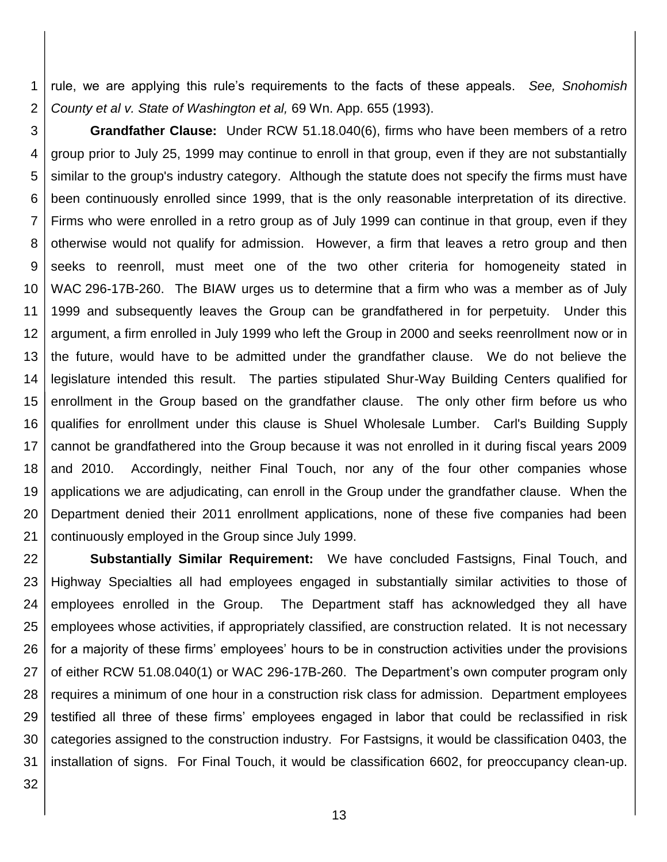1 2 rule, we are applying this rule's requirements to the facts of these appeals. *See, Snohomish County et al v. State of Washington et al,* 69 Wn. App. 655 (1993).

3 4 5 6 7 8 9 10 11 12 13 14 15 16 17 18 19 20 21 **Grandfather Clause:** Under RCW 51.18.040(6), firms who have been members of a retro group prior to July 25, 1999 may continue to enroll in that group, even if they are not substantially similar to the group's industry category. Although the statute does not specify the firms must have been continuously enrolled since 1999, that is the only reasonable interpretation of its directive. Firms who were enrolled in a retro group as of July 1999 can continue in that group, even if they otherwise would not qualify for admission. However, a firm that leaves a retro group and then seeks to reenroll, must meet one of the two other criteria for homogeneity stated in WAC 296-17B-260. The BIAW urges us to determine that a firm who was a member as of July 1999 and subsequently leaves the Group can be grandfathered in for perpetuity. Under this argument, a firm enrolled in July 1999 who left the Group in 2000 and seeks reenrollment now or in the future, would have to be admitted under the grandfather clause. We do not believe the legislature intended this result. The parties stipulated Shur-Way Building Centers qualified for enrollment in the Group based on the grandfather clause. The only other firm before us who qualifies for enrollment under this clause is Shuel Wholesale Lumber. Carl's Building Supply cannot be grandfathered into the Group because it was not enrolled in it during fiscal years 2009 and 2010. Accordingly, neither Final Touch, nor any of the four other companies whose applications we are adjudicating, can enroll in the Group under the grandfather clause. When the Department denied their 2011 enrollment applications, none of these five companies had been continuously employed in the Group since July 1999.

22 23 24 25 26 27 28 29 30 31 **Substantially Similar Requirement:** We have concluded Fastsigns, Final Touch, and Highway Specialties all had employees engaged in substantially similar activities to those of employees enrolled in the Group. The Department staff has acknowledged they all have employees whose activities, if appropriately classified, are construction related. It is not necessary for a majority of these firms' employees' hours to be in construction activities under the provisions of either RCW 51.08.040(1) or WAC 296-17B-260. The Department's own computer program only requires a minimum of one hour in a construction risk class for admission. Department employees testified all three of these firms' employees engaged in labor that could be reclassified in risk categories assigned to the construction industry. For Fastsigns, it would be classification 0403, the installation of signs. For Final Touch, it would be classification 6602, for preoccupancy clean-up.

32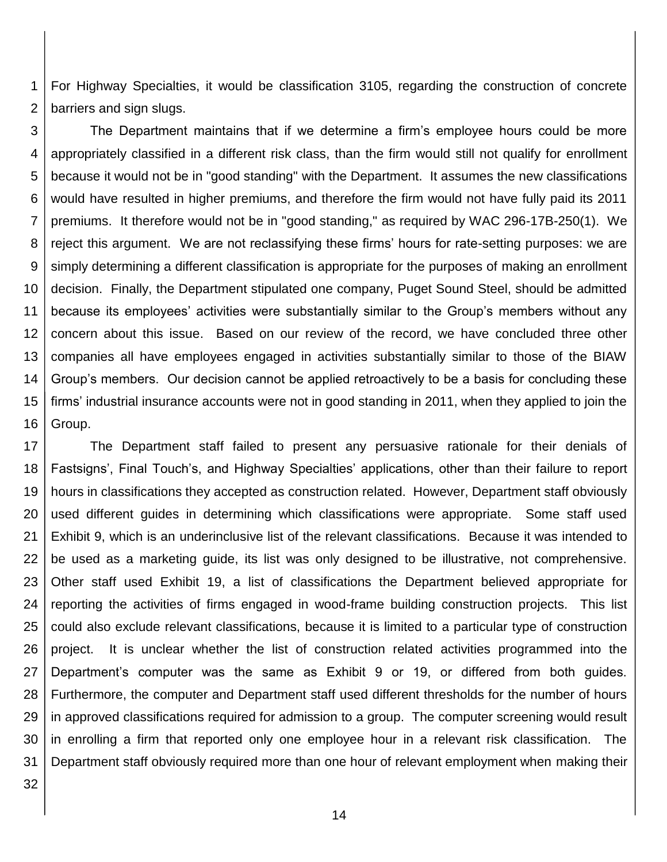1 2 For Highway Specialties, it would be classification 3105, regarding the construction of concrete barriers and sign slugs.

3 4 5 6 7 8 9 10 11 12 13 14 15 16 The Department maintains that if we determine a firm's employee hours could be more appropriately classified in a different risk class, than the firm would still not qualify for enrollment because it would not be in "good standing" with the Department. It assumes the new classifications would have resulted in higher premiums, and therefore the firm would not have fully paid its 2011 premiums. It therefore would not be in "good standing," as required by WAC 296-17B-250(1). We reject this argument. We are not reclassifying these firms' hours for rate-setting purposes: we are simply determining a different classification is appropriate for the purposes of making an enrollment decision. Finally, the Department stipulated one company, Puget Sound Steel, should be admitted because its employees' activities were substantially similar to the Group's members without any concern about this issue. Based on our review of the record, we have concluded three other companies all have employees engaged in activities substantially similar to those of the BIAW Group's members. Our decision cannot be applied retroactively to be a basis for concluding these firms' industrial insurance accounts were not in good standing in 2011, when they applied to join the Group.

17 18 19 20 21 22 23 24 25 26 27 28 29 30 31 The Department staff failed to present any persuasive rationale for their denials of Fastsigns', Final Touch's, and Highway Specialties' applications, other than their failure to report hours in classifications they accepted as construction related. However, Department staff obviously used different guides in determining which classifications were appropriate. Some staff used Exhibit 9, which is an underinclusive list of the relevant classifications. Because it was intended to be used as a marketing guide, its list was only designed to be illustrative, not comprehensive. Other staff used Exhibit 19, a list of classifications the Department believed appropriate for reporting the activities of firms engaged in wood-frame building construction projects. This list could also exclude relevant classifications, because it is limited to a particular type of construction project. It is unclear whether the list of construction related activities programmed into the Department's computer was the same as Exhibit 9 or 19, or differed from both guides. Furthermore, the computer and Department staff used different thresholds for the number of hours in approved classifications required for admission to a group. The computer screening would result in enrolling a firm that reported only one employee hour in a relevant risk classification. The Department staff obviously required more than one hour of relevant employment when making their

32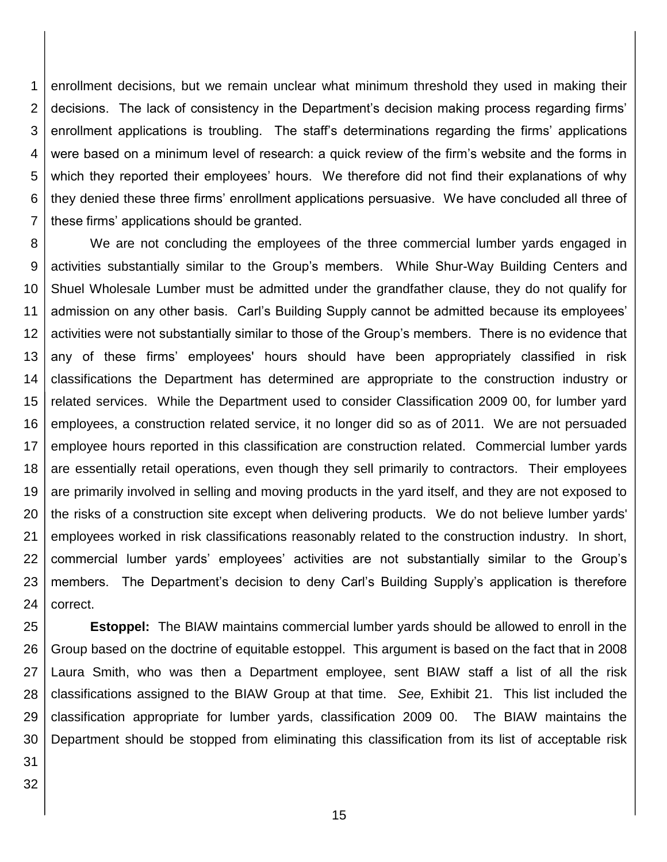1 2 3 4 5 6 7 enrollment decisions, but we remain unclear what minimum threshold they used in making their decisions. The lack of consistency in the Department's decision making process regarding firms' enrollment applications is troubling. The staff's determinations regarding the firms' applications were based on a minimum level of research: a quick review of the firm's website and the forms in which they reported their employees' hours. We therefore did not find their explanations of why they denied these three firms' enrollment applications persuasive. We have concluded all three of these firms' applications should be granted.

8 9 10 11 12 13 14 15 16 17 18 19 20 21 22 23 24 We are not concluding the employees of the three commercial lumber yards engaged in activities substantially similar to the Group's members. While Shur-Way Building Centers and Shuel Wholesale Lumber must be admitted under the grandfather clause, they do not qualify for admission on any other basis. Carl's Building Supply cannot be admitted because its employees' activities were not substantially similar to those of the Group's members. There is no evidence that any of these firms' employees' hours should have been appropriately classified in risk classifications the Department has determined are appropriate to the construction industry or related services. While the Department used to consider Classification 2009 00, for lumber yard employees, a construction related service, it no longer did so as of 2011. We are not persuaded employee hours reported in this classification are construction related. Commercial lumber yards are essentially retail operations, even though they sell primarily to contractors. Their employees are primarily involved in selling and moving products in the yard itself, and they are not exposed to the risks of a construction site except when delivering products. We do not believe lumber yards' employees worked in risk classifications reasonably related to the construction industry. In short, commercial lumber yards' employees' activities are not substantially similar to the Group's members. The Department's decision to deny Carl's Building Supply's application is therefore correct.

25 26 27 28 29 30 **Estoppel:** The BIAW maintains commercial lumber yards should be allowed to enroll in the Group based on the doctrine of equitable estoppel. This argument is based on the fact that in 2008 Laura Smith, who was then a Department employee, sent BIAW staff a list of all the risk classifications assigned to the BIAW Group at that time. *See,* Exhibit 21. This list included the classification appropriate for lumber yards, classification 2009 00. The BIAW maintains the Department should be stopped from eliminating this classification from its list of acceptable risk

31 32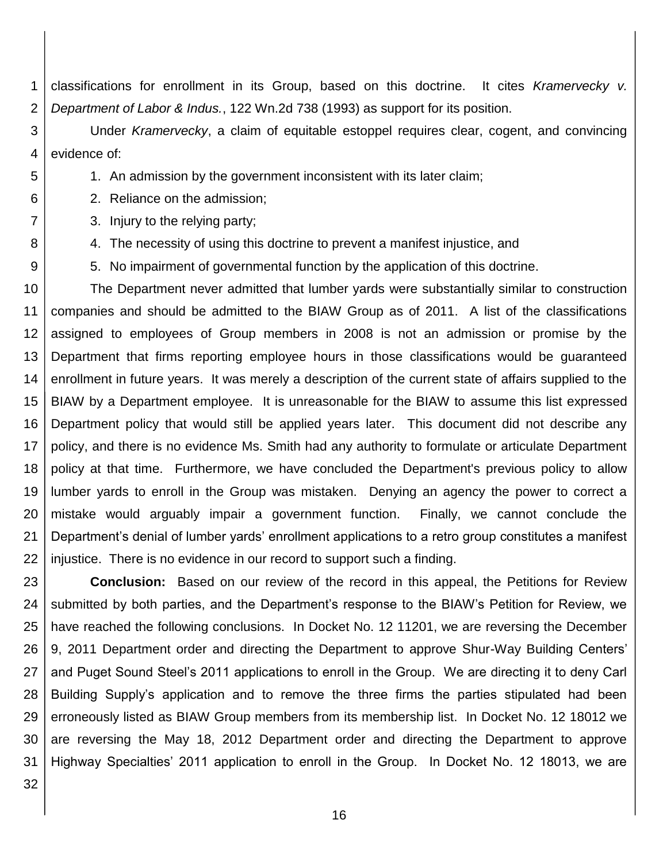1 2 classifications for enrollment in its Group, based on this doctrine. It cites *Kramervecky v. Department of Labor & Indus.*, 122 Wn.2d 738 (1993) as support for its position.

3 4 Under *Kramervecky*, a claim of equitable estoppel requires clear, cogent, and convincing evidence of:

1. An admission by the government inconsistent with its later claim;

2. Reliance on the admission;

3. Injury to the relying party;

4. The necessity of using this doctrine to prevent a manifest injustice, and

5. No impairment of governmental function by the application of this doctrine.

10 11 12 13 14 15 16 17 18 19 20 21 22 The Department never admitted that lumber yards were substantially similar to construction companies and should be admitted to the BIAW Group as of 2011. A list of the classifications assigned to employees of Group members in 2008 is not an admission or promise by the Department that firms reporting employee hours in those classifications would be guaranteed enrollment in future years. It was merely a description of the current state of affairs supplied to the BIAW by a Department employee. It is unreasonable for the BIAW to assume this list expressed Department policy that would still be applied years later. This document did not describe any policy, and there is no evidence Ms. Smith had any authority to formulate or articulate Department policy at that time. Furthermore, we have concluded the Department's previous policy to allow lumber yards to enroll in the Group was mistaken. Denying an agency the power to correct a mistake would arguably impair a government function. Finally, we cannot conclude the Department's denial of lumber yards' enrollment applications to a retro group constitutes a manifest injustice. There is no evidence in our record to support such a finding.

23 24 25 26 27 28 29 30 31 **Conclusion:** Based on our review of the record in this appeal, the Petitions for Review submitted by both parties, and the Department's response to the BIAW's Petition for Review, we have reached the following conclusions. In Docket No. 12 11201, we are reversing the December 9, 2011 Department order and directing the Department to approve Shur-Way Building Centers' and Puget Sound Steel's 2011 applications to enroll in the Group. We are directing it to deny Carl Building Supply's application and to remove the three firms the parties stipulated had been erroneously listed as BIAW Group members from its membership list. In Docket No. 12 18012 we are reversing the May 18, 2012 Department order and directing the Department to approve Highway Specialties' 2011 application to enroll in the Group. In Docket No. 12 18013, we are

32

5

6

7

8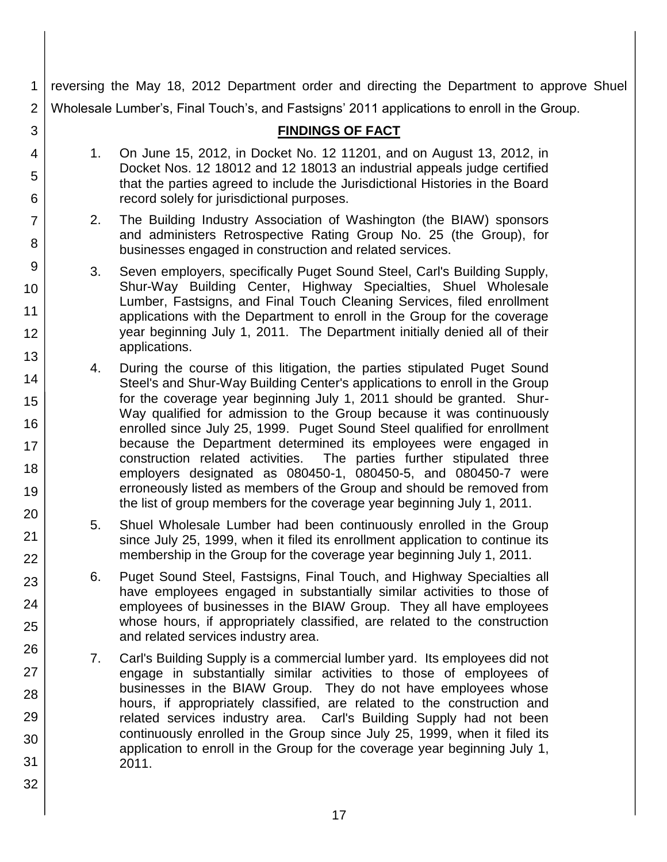reversing the May 18, 2012 Department order and directing the Department to approve Shuel Wholesale Lumber's, Final Touch's, and Fastsigns' 2011 applications to enroll in the Group.

30

31

32

## **FINDINGS OF FACT**

- 1. On June 15, 2012, in Docket No. 12 11201, and on August 13, 2012, in Docket Nos. 12 18012 and 12 18013 an industrial appeals judge certified that the parties agreed to include the Jurisdictional Histories in the Board record solely for jurisdictional purposes.
- 2. The Building Industry Association of Washington (the BIAW) sponsors and administers Retrospective Rating Group No. 25 (the Group), for businesses engaged in construction and related services.
- 3. Seven employers, specifically Puget Sound Steel, Carl's Building Supply, Shur-Way Building Center, Highway Specialties, Shuel Wholesale Lumber, Fastsigns, and Final Touch Cleaning Services, filed enrollment applications with the Department to enroll in the Group for the coverage year beginning July 1, 2011. The Department initially denied all of their applications.
- 4. During the course of this litigation, the parties stipulated Puget Sound Steel's and Shur-Way Building Center's applications to enroll in the Group for the coverage year beginning July 1, 2011 should be granted. Shur-Way qualified for admission to the Group because it was continuously enrolled since July 25, 1999. Puget Sound Steel qualified for enrollment because the Department determined its employees were engaged in construction related activities. The parties further stipulated three employers designated as 080450-1, 080450-5, and 080450-7 were erroneously listed as members of the Group and should be removed from the list of group members for the coverage year beginning July 1, 2011.
	- 5. Shuel Wholesale Lumber had been continuously enrolled in the Group since July 25, 1999, when it filed its enrollment application to continue its membership in the Group for the coverage year beginning July 1, 2011.
	- 6. Puget Sound Steel, Fastsigns, Final Touch, and Highway Specialties all have employees engaged in substantially similar activities to those of employees of businesses in the BIAW Group. They all have employees whose hours, if appropriately classified, are related to the construction and related services industry area.
- 7. Carl's Building Supply is a commercial lumber yard. Its employees did not engage in substantially similar activities to those of employees of businesses in the BIAW Group. They do not have employees whose hours, if appropriately classified, are related to the construction and related services industry area. Carl's Building Supply had not been continuously enrolled in the Group since July 25, 1999, when it filed its application to enroll in the Group for the coverage year beginning July 1, 2011.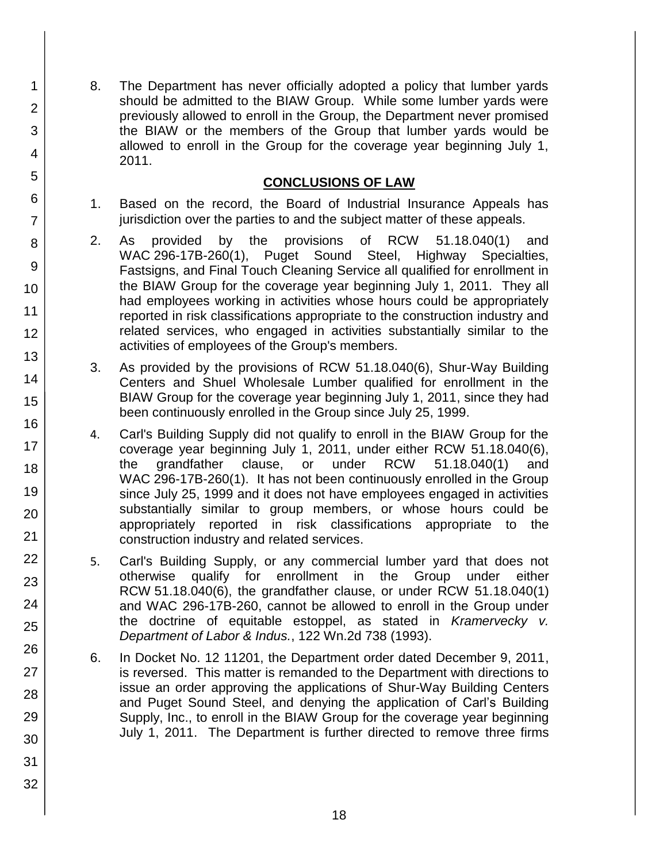8. The Department has never officially adopted a policy that lumber yards should be admitted to the BIAW Group. While some lumber yards were previously allowed to enroll in the Group, the Department never promised the BIAW or the members of the Group that lumber yards would be allowed to enroll in the Group for the coverage year beginning July 1, 2011.

## **CONCLUSIONS OF LAW**

- 1. Based on the record, the Board of Industrial Insurance Appeals has jurisdiction over the parties to and the subject matter of these appeals.
- 2. As provided by the provisions of RCW 51.18.040(1) and WAC 296-17B-260(1), Puget Sound Steel, Highway Specialties, Fastsigns, and Final Touch Cleaning Service all qualified for enrollment in the BIAW Group for the coverage year beginning July 1, 2011. They all had employees working in activities whose hours could be appropriately reported in risk classifications appropriate to the construction industry and related services, who engaged in activities substantially similar to the activities of employees of the Group's members.
- 3. As provided by the provisions of RCW 51.18.040(6), Shur-Way Building Centers and Shuel Wholesale Lumber qualified for enrollment in the BIAW Group for the coverage year beginning July 1, 2011, since they had been continuously enrolled in the Group since July 25, 1999.
- 4. Carl's Building Supply did not qualify to enroll in the BIAW Group for the coverage year beginning July 1, 2011, under either RCW 51.18.040(6), the grandfather clause, or under RCW 51.18.040(1) and WAC 296-17B-260(1). It has not been continuously enrolled in the Group since July 25, 1999 and it does not have employees engaged in activities substantially similar to group members, or whose hours could be appropriately reported in risk classifications appropriate to the construction industry and related services.
- 5. Carl's Building Supply, or any commercial lumber yard that does not otherwise qualify for enrollment in the Group under either RCW 51.18.040(6), the grandfather clause, or under RCW 51.18.040(1) and WAC 296-17B-260, cannot be allowed to enroll in the Group under the doctrine of equitable estoppel, as stated in *Kramervecky v. Department of Labor & Indus.*, 122 Wn.2d 738 (1993).
- 6. In Docket No. 12 11201, the Department order dated December 9, 2011, is reversed. This matter is remanded to the Department with directions to issue an order approving the applications of Shur-Way Building Centers and Puget Sound Steel, and denying the application of Carl's Building Supply, Inc., to enroll in the BIAW Group for the coverage year beginning July 1, 2011. The Department is further directed to remove three firms
- 2 3 4 5 6 7 8 9 10 11 12 13 14 15 16 17 18 19 20 21 22 23 24 25 26 27 28 29 30 31

32